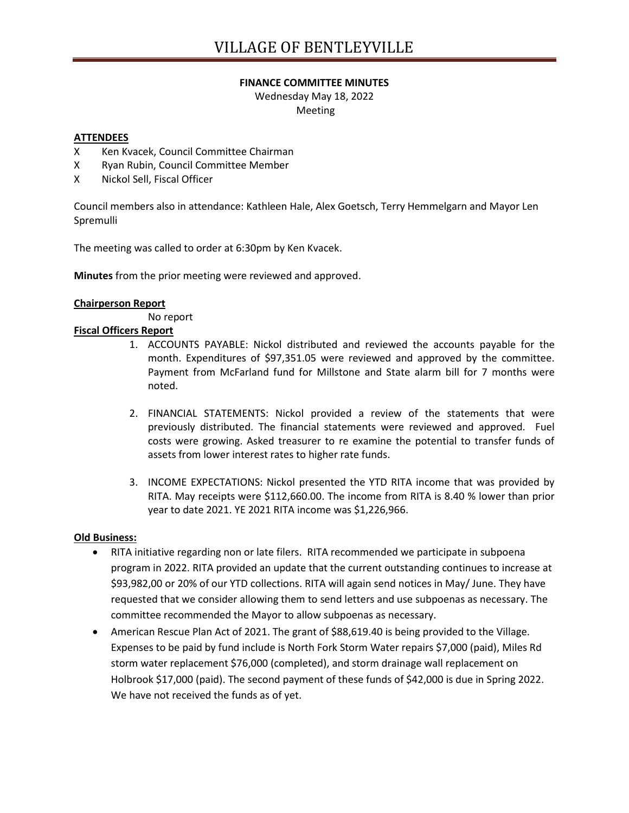# **FINANCE COMMITTEE MINUTES**

Wednesday May 18, 2022 Meeting

# **ATTENDEES**

- X Ken Kvacek, Council Committee Chairman
- X Ryan Rubin, Council Committee Member
- X Nickol Sell, Fiscal Officer

Council members also in attendance: Kathleen Hale, Alex Goetsch, Terry Hemmelgarn and Mayor Len Spremulli

The meeting was called to order at 6:30pm by Ken Kvacek.

**Minutes** from the prior meeting were reviewed and approved.

### **Chairperson Report**

No report

# **Fiscal Officers Report**

- 1. ACCOUNTS PAYABLE: Nickol distributed and reviewed the accounts payable for the month. Expenditures of \$97,351.05 were reviewed and approved by the committee. Payment from McFarland fund for Millstone and State alarm bill for 7 months were noted.
- 2. FINANCIAL STATEMENTS: Nickol provided a review of the statements that were previously distributed. The financial statements were reviewed and approved. Fuel costs were growing. Asked treasurer to re examine the potential to transfer funds of assets from lower interest rates to higher rate funds.
- 3. INCOME EXPECTATIONS: Nickol presented the YTD RITA income that was provided by RITA. May receipts were \$112,660.00. The income from RITA is 8.40 % lower than prior year to date 2021. YE 2021 RITA income was \$1,226,966.

### **Old Business:**

- RITA initiative regarding non or late filers. RITA recommended we participate in subpoena program in 2022. RITA provided an update that the current outstanding continues to increase at \$93,982,00 or 20% of our YTD collections. RITA will again send notices in May/ June. They have requested that we consider allowing them to send letters and use subpoenas as necessary. The committee recommended the Mayor to allow subpoenas as necessary.
- American Rescue Plan Act of 2021. The grant of \$88,619.40 is being provided to the Village. Expenses to be paid by fund include is North Fork Storm Water repairs \$7,000 (paid), Miles Rd storm water replacement \$76,000 (completed), and storm drainage wall replacement on Holbrook \$17,000 (paid). The second payment of these funds of \$42,000 is due in Spring 2022. We have not received the funds as of yet.